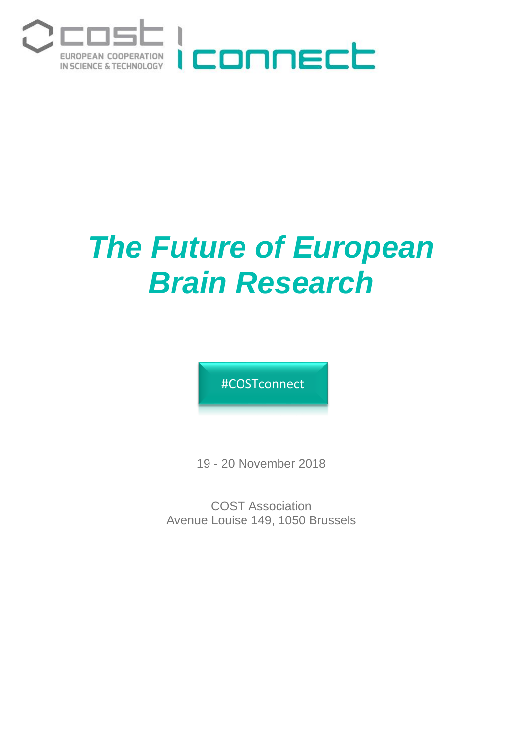

# *The Future of European Brain Research*

#COSTconnect

19 - 20 November 2018

COST Association Avenue Louise 149, 1050 Brussels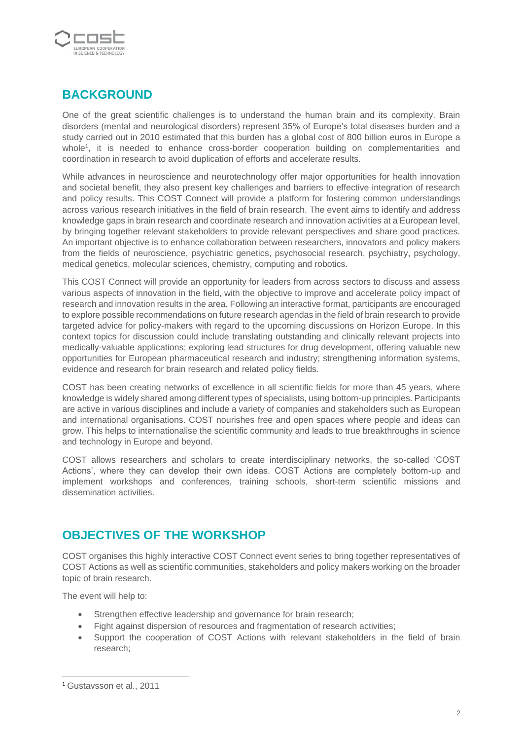

## **BACKGROUND**

One of the great scientific challenges is to understand the human brain and its complexity. Brain disorders (mental and neurological disorders) represent 35% of Europe's total diseases burden and a study carried out in 2010 estimated that this burden has a global cost of 800 billion euros in Europe a whole<sup>1</sup>, it is needed to enhance cross-border cooperation building on complementarities and coordination in research to avoid duplication of efforts and accelerate results.

While advances in neuroscience and neurotechnology offer major opportunities for health innovation and societal benefit, they also present key challenges and barriers to effective integration of research and policy results. This COST Connect will provide a platform for fostering common understandings across various research initiatives in the field of brain research. The event aims to identify and address knowledge gaps in brain research and coordinate research and innovation activities at a European level, by bringing together relevant stakeholders to provide relevant perspectives and share good practices. An important objective is to enhance collaboration between researchers, innovators and policy makers from the fields of neuroscience, psychiatric genetics, psychosocial research, psychiatry, psychology, medical genetics, molecular sciences, chemistry, computing and robotics.

This COST Connect will provide an opportunity for leaders from across sectors to discuss and assess various aspects of innovation in the field, with the objective to improve and accelerate policy impact of research and innovation results in the area. Following an interactive format, participants are encouraged to explore possible recommendations on future research agendas in the field of brain research to provide targeted advice for policy-makers with regard to the upcoming discussions on Horizon Europe. In this context topics for discussion could include translating outstanding and clinically relevant projects into medically-valuable applications; exploring lead structures for drug development, offering valuable new opportunities for European pharmaceutical research and industry; strengthening information systems, evidence and research for brain research and related policy fields.

COST has been creating networks of excellence in all scientific fields for more than 45 years, where knowledge is widely shared among different types of specialists, using bottom-up principles. Participants are active in various disciplines and include a variety of companies and stakeholders such as European and international organisations. COST nourishes free and open spaces where people and ideas can grow. This helps to internationalise the scientific community and leads to true breakthroughs in science and technology in Europe and beyond.

COST allows researchers and scholars to create interdisciplinary networks, the so-called 'COST Actions', where they can develop their own ideas. COST Actions are completely bottom-up and implement workshops and conferences, training schools, short-term scientific missions and dissemination activities.

#### **OBJECTIVES OF THE WORKSHOP**

COST organises this highly interactive COST Connect event series to bring together representatives of COST Actions as well as scientific communities, stakeholders and policy makers working on the broader topic of brain research.

The event will help to:

- Strengthen effective leadership and governance for brain research;
- Fight against dispersion of resources and fragmentation of research activities;
- Support the cooperation of COST Actions with relevant stakeholders in the field of brain research;

**.** 

<sup>1</sup> Gustavsson et al., 2011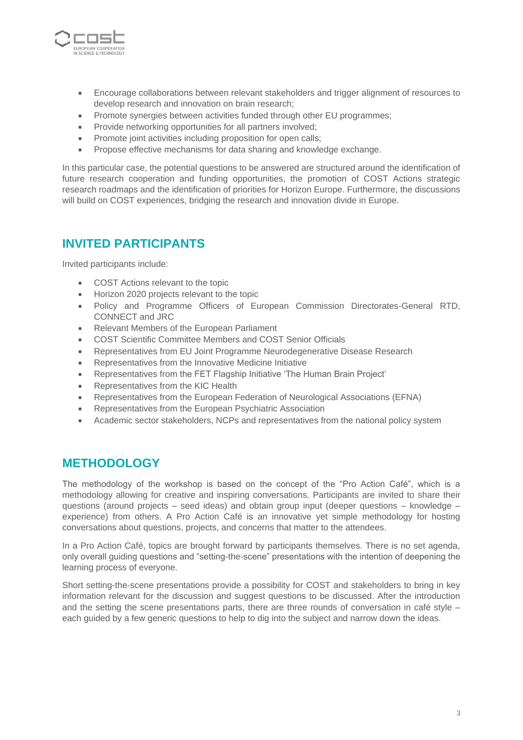

- Encourage collaborations between relevant stakeholders and trigger alignment of resources to develop research and innovation on brain research;
- Promote synergies between activities funded through other EU programmes;
- Provide networking opportunities for all partners involved;
- Promote joint activities including proposition for open calls;
- Propose effective mechanisms for data sharing and knowledge exchange.

In this particular case, the potential questions to be answered are structured around the identification of future research cooperation and funding opportunities, the promotion of COST Actions strategic research roadmaps and the identification of priorities for Horizon Europe. Furthermore, the discussions will build on COST experiences, bridging the research and innovation divide in Europe.

#### **INVITED PARTICIPANTS**

Invited participants include:

- COST Actions relevant to the topic
- Horizon 2020 projects relevant to the topic
- Policy and Programme Officers of European Commission Directorates-General RTD, CONNECT and JRC
- Relevant Members of the European Parliament
- COST Scientific Committee Members and COST Senior Officials
- Representatives from EU Joint Programme Neurodegenerative Disease Research
- Representatives from the Innovative Medicine Initiative
- Representatives from the FET Flagship Initiative 'The Human Brain Project'
- Representatives from the KIC Health
- Representatives from the European Federation of Neurological Associations (EFNA)
- Representatives from the European Psychiatric Association
- Academic sector stakeholders, NCPs and representatives from the national policy system

#### **METHODOLOGY**

The methodology of the workshop is based on the concept of the "Pro Action Café", which is a methodology allowing for creative and inspiring conversations. Participants are invited to share their questions (around projects – seed ideas) and obtain group input (deeper questions – knowledge – experience) from others. A Pro Action Café is an innovative yet simple methodology for hosting conversations about questions, projects, and concerns that matter to the attendees.

In a Pro Action Café, topics are brought forward by participants themselves. There is no set agenda, only overall guiding questions and "setting-the-scene" presentations with the intention of deepening the learning process of everyone.

Short setting-the-scene presentations provide a possibility for COST and stakeholders to bring in key information relevant for the discussion and suggest questions to be discussed. After the introduction and the setting the scene presentations parts, there are three rounds of conversation in café style – each guided by a few generic questions to help to dig into the subject and narrow down the ideas.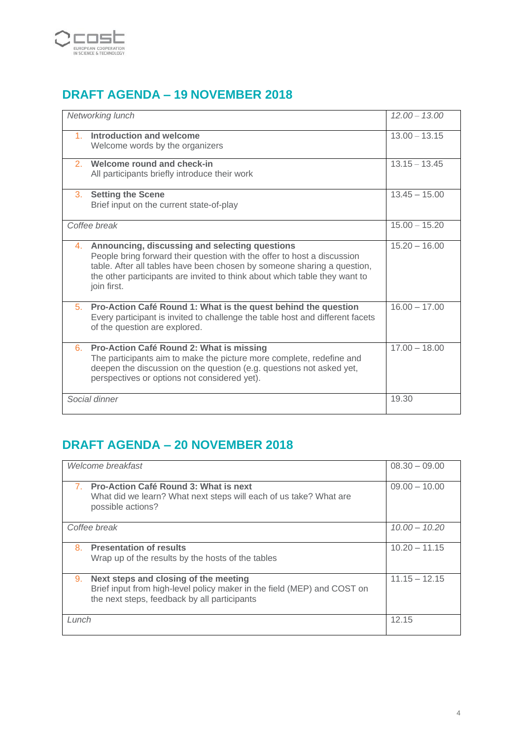

# **DRAFT AGENDA – 19 NOVEMBER 2018**

| Networking lunch                                                                                                                                                                                                                                                                                     | $12.00 - 13.00$ |
|------------------------------------------------------------------------------------------------------------------------------------------------------------------------------------------------------------------------------------------------------------------------------------------------------|-----------------|
| Introduction and welcome<br>Welcome words by the organizers                                                                                                                                                                                                                                          | $13.00 - 13.15$ |
| 2 Welcome round and check-in<br>All participants briefly introduce their work                                                                                                                                                                                                                        | $13.15 - 13.45$ |
| 3. Setting the Scene<br>Brief input on the current state-of-play                                                                                                                                                                                                                                     | $13.45 - 15.00$ |
| Coffee break                                                                                                                                                                                                                                                                                         | $15.00 - 15.20$ |
| 4. Announcing, discussing and selecting questions<br>People bring forward their question with the offer to host a discussion<br>table. After all tables have been chosen by someone sharing a question,<br>the other participants are invited to think about which table they want to<br>join first. | $15.20 - 16.00$ |
| 5. Pro-Action Café Round 1: What is the quest behind the question<br>Every participant is invited to challenge the table host and different facets<br>of the question are explored.                                                                                                                  | $16.00 - 17.00$ |
| 6. Pro-Action Café Round 2: What is missing<br>The participants aim to make the picture more complete, redefine and<br>deepen the discussion on the question (e.g. questions not asked yet,<br>perspectives or options not considered yet).                                                          | $17.00 - 18.00$ |
| Social dinner                                                                                                                                                                                                                                                                                        | 19.30           |

# **DRAFT AGENDA – 20 NOVEMBER 2018**

| Welcome breakfast                                                                                                                                                      | $08.30 - 09.00$ |
|------------------------------------------------------------------------------------------------------------------------------------------------------------------------|-----------------|
| <b>Pro-Action Café Round 3: What is next</b><br>What did we learn? What next steps will each of us take? What are<br>possible actions?                                 | $09.00 - 10.00$ |
| Coffee break                                                                                                                                                           | $10.00 - 10.20$ |
| 8. Presentation of results<br>Wrap up of the results by the hosts of the tables                                                                                        | $10.20 - 11.15$ |
| Next steps and closing of the meeting<br>9.<br>Brief input from high-level policy maker in the field (MEP) and COST on<br>the next steps, feedback by all participants | $11.15 - 12.15$ |
| Lunch                                                                                                                                                                  | 12.15           |